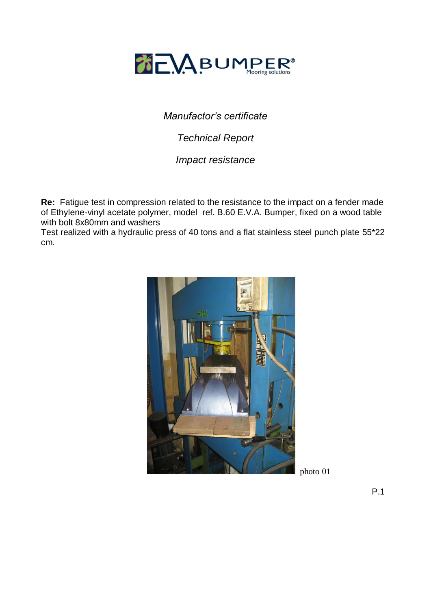

*Manufactor's certificate*

*Technical Report*

*Impact resistance* 

**Re:** Fatigue test in compression related to the resistance to the impact on a fender made of Ethylene-vinyl acetate polymer, model ref. B.60 E.V.A. Bumper, fixed on a wood table with bolt 8x80mm and washers

Test realized with a hydraulic press of 40 tons and a flat stainless steel punch plate 55\*22 cm.



photo 01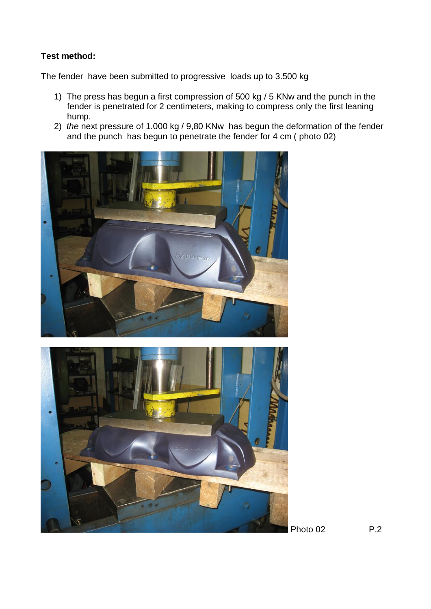## **Test method:**

The fender have been submitted to progressive loads up to 3.500 kg

- 1) The press has begun a first compression of 500 kg / 5 KNw and the punch in the fender is penetrated for 2 centimeters, making to compress only the first leaning hump.
- 2) *the* next pressure of 1.000 kg / 9,80 KNw has begun the deformation of the fender and the punch has begun to penetrate the fender for 4 cm ( photo 02)





Photo 02 P.2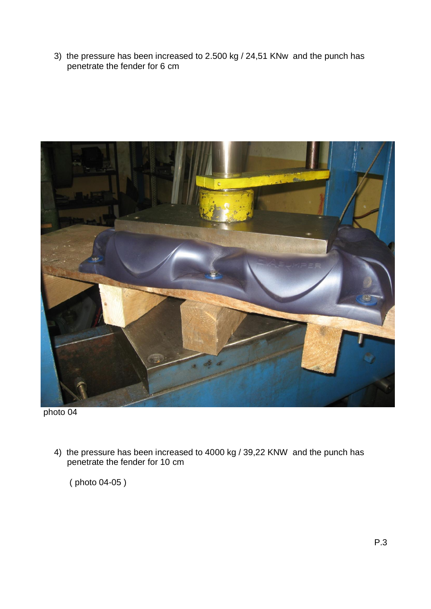3) the pressure has been increased to 2.500 kg / 24,51 KNw and the punch has penetrate the fender for 6 cm



photo 04

4) the pressure has been increased to 4000 kg / 39,22 KNW and the punch has penetrate the fender for 10 cm

( photo 04-05 )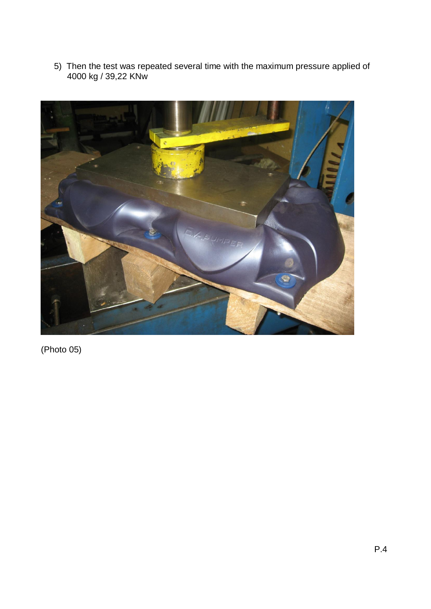5) Then the test was repeated several time with the maximum pressure applied of 4000 kg / 39,22 KNw



(Photo 05)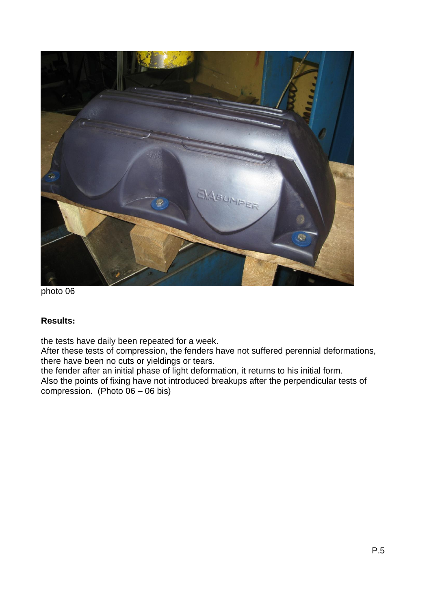

photo 06

## **Results:**

the tests have daily been repeated for a week.

After these tests of compression, the fenders have not suffered perennial deformations, there have been no cuts or yieldings or tears.

the fender after an initial phase of light deformation, it returns to his initial form. Also the points of fixing have not introduced breakups after the perpendicular tests of compression. (Photo  $06 - 06$  bis)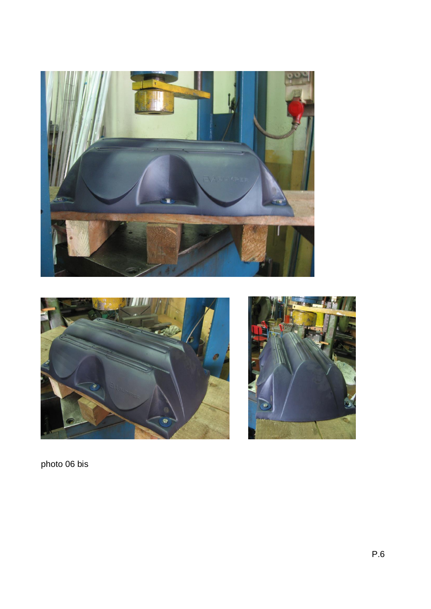





photo 06 bis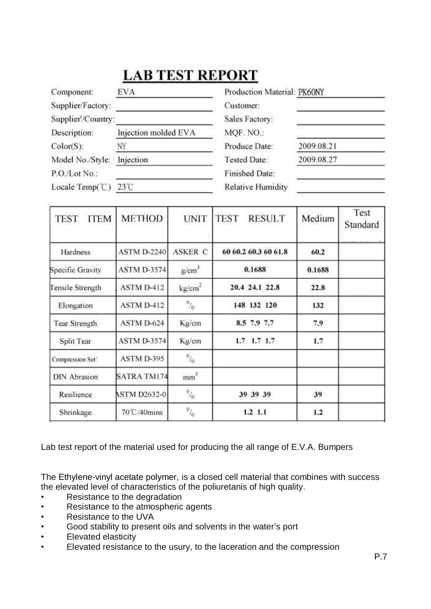## **LAB TEST REPORT**

| Component:             | EVA                  | Production Material: PK60NY |            |
|------------------------|----------------------|-----------------------------|------------|
| Supplier/Factory:      |                      | Customer:                   |            |
| Supplier/Country:      |                      | Sales Factory:              |            |
| Description:           | Injection molded EVA | MQF. NO.:                   |            |
| Color(S):              | NY                   | Produce Date:               | 2009.08.21 |
| Model No./Style:       | Injection            | Tested Date:                | 2009.08.27 |
| P.O./Lot No.:          |                      | Finished Date:              |            |
| Locale Temp $(C)$ 23°C |                      | <b>Relative Humidity</b>    |            |

| <b>ITEM</b><br>TEST          | <b>METHOD</b>       | <b>UNIT</b>              | <b>RESULT</b><br><b>TEST</b> | Medium | Test<br>Standard |
|------------------------------|---------------------|--------------------------|------------------------------|--------|------------------|
| <b>Hardness</b>              | <b>ASTM D-2240</b>  | <b>ASKER C</b>           | 60 60.2 60.3 60 61.8         | 60.2   |                  |
| Specific Gravity             | <b>ASTM D-3574</b>  | g/cm <sup>3</sup>        | 0.1688                       | 0.1688 |                  |
| Tensile Strength             | ASTM D-412          | kg/cm <sup>2</sup>       | 20.4 24.1 22.8               | 22.8   |                  |
| Elongation                   | ASTM D-412          | $\boldsymbol{^{0}/_{0}}$ | 148 132 120                  | 132    |                  |
| Tear Strength                | ASTM D-624          | Kg/cm                    | 8.5 7.9 7.7                  | 7.9    |                  |
| Split Tear                   | <b>ASTM D-3574</b>  | Kg/cm                    | 1.7 1.7<br>1.7               | 1.7    |                  |
| Compression Set <sup>1</sup> | ASTM D-395          | $\frac{1}{2}$            |                              |        |                  |
| <b>DIN Abrasion</b>          | SATRA TM174         | mm <sup>3</sup>          |                              |        |                  |
| Resilience                   | <b>ASTM D2632-0</b> | $^0\prime_0$             | 39 39 39                     | 39     |                  |
| Shrinkage.                   | 70℃/40mins          | $^{0}/_{0}$              | $1.2$ 1.1                    | 1.2    |                  |

Lab test report of the material used for producing the all range of E.V.A. Bumpers

The Ethylene-vinyl acetate polymer, is a closed cell material that combines with success the elevated level of characteristics of the poliuretanis of high quality.

- Resistance to the degradation
- Resistance to the atmospheric agents
- Resistance to the UVA
- Good stability to present oils and solvents in the water's port
- Elevated elasticity
- Elevated resistance to the usury, to the laceration and the compression